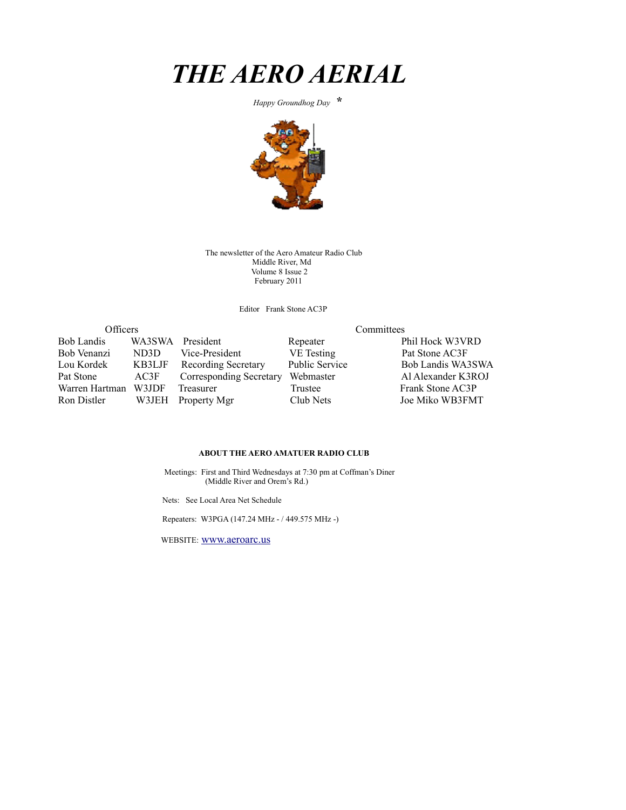

 *Happy Groundhog Day* **\*** 



The newsletter of the Aero Amateur Radio Club Middle River, Md Volume 8 Issue 2 February 2011

Editor Frank Stone AC3P

| Officers          |        |                            | Committees            |                    |  |  |
|-------------------|--------|----------------------------|-----------------------|--------------------|--|--|
| <b>Bob Landis</b> | WA3SWA | President                  | Repeater              | Phil Hock W3VRD    |  |  |
| Bob Venanzi       | ND3D   | Vice-President             | VE Testing            | Pat Stone AC3F     |  |  |
| Lou Kordek        | KB3LJF | <b>Recording Secretary</b> | <b>Public Service</b> | Bob Landis WA3SWA  |  |  |
| Pat Stone         | AC3F   | Corresponding Secretary    | Webmaster             | Al Alexander K3ROJ |  |  |
| Warren Hartman    | W3JDF  | Treasurer                  | Trustee               | Frank Stone AC3P   |  |  |
| Ron Distler       | W3JEH  | Property Mgr               | Club Nets             | Joe Miko WB3FMT    |  |  |

#### **ABOUT THE AERO AMATUER RADIO CLUB**

 Meetings: First and Third Wednesdays at 7:30 pm at Coffman's Diner (Middle River and Orem's Rd.)

Nets: See Local Area Net Schedule

Repeaters: W3PGA (147.24 MHz - / 449.575 MHz -)

WEBSITE: [www.aeroarc.us](http://www.aeroarc.us/)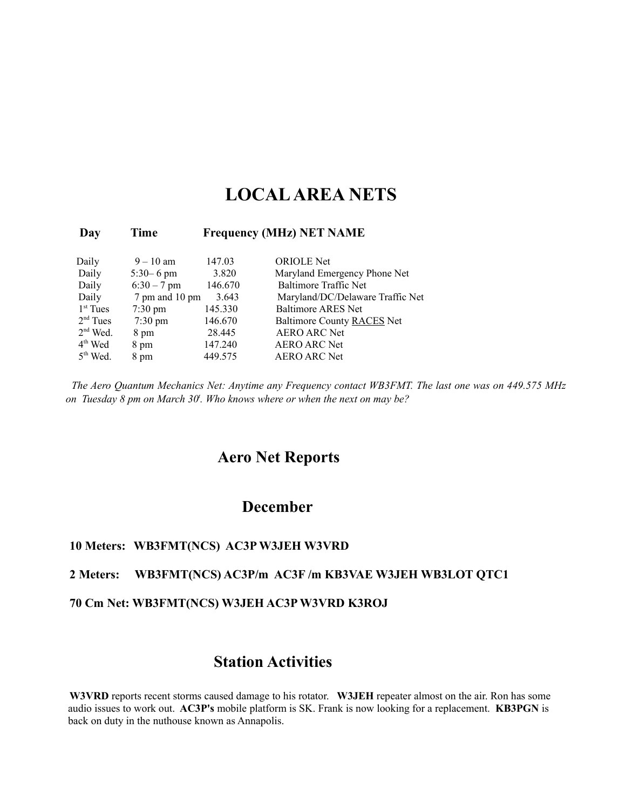# **LOCAL AREA NETS**

#### **Day Time Frequency (MHz) NET NAME**

| Daily      | $9 - 10$ am       | 147.03  | <b>ORIOLE</b> Net                |
|------------|-------------------|---------|----------------------------------|
| Daily      | $5:30 - 6$ pm     | 3.820   | Maryland Emergency Phone Net     |
| Daily      | $6:30 - 7$ pm     | 146.670 | <b>Baltimore Traffic Net</b>     |
| Daily      | 7 pm and 10 pm    | 3.643   | Maryland/DC/Delaware Traffic Net |
| $1st$ Tues | $7:30 \text{ pm}$ | 145.330 | <b>Baltimore ARES Net</b>        |
| $2nd$ Tues | $7:30 \text{ pm}$ | 146.670 | Baltimore County RACES Net       |
| $2nd$ Wed. | 8 pm              | 28.445  | <b>AERO ARC Net</b>              |
| $4th$ Wed  | 8 pm              | 147.240 | <b>AERO ARC Net</b>              |
| $5th$ Wed. | 8 pm              | 449.575 | <b>AERO ARC Net</b>              |

*The Aero Quantum Mechanics Net: Anytime any Frequency contact WB3FMT. The last one was on 449.575 MHz on Tuesday 8 pm on March 30<sup>t</sup> . Who knows where or when the next on may be?*

## **Aero Net Reports**

### **December**

#### **10 Meters: WB3FMT(NCS) AC3P W3JEH W3VRD**

#### **2 Meters: WB3FMT(NCS) AC3P/m AC3F /m KB3VAE W3JEH WB3LOT QTC1**

#### **70 Cm Net: WB3FMT(NCS) W3JEH AC3P W3VRD K3ROJ**

## **Station Activities**

**W3VRD** reports recent storms caused damage to his rotator. **W3JEH** repeater almost on the air. Ron has some audio issues to work out. **AC3P's** mobile platform is SK. Frank is now looking for a replacement. **KB3PGN** is back on duty in the nuthouse known as Annapolis.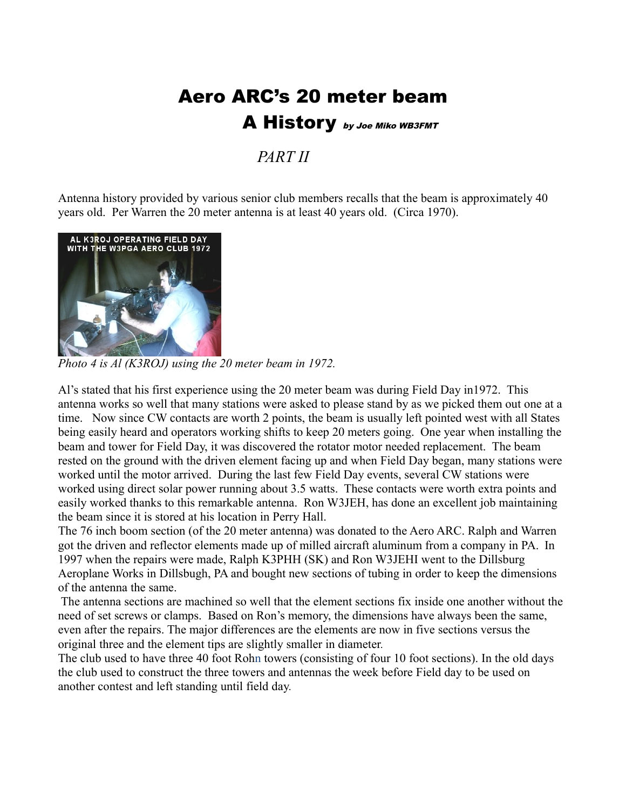# Aero ARC's 20 meter beam A History by Joe Miko WB3FMT

*PART II*

Antenna history provided by various senior club members recalls that the beam is approximately 40 years old. Per Warren the 20 meter antenna is at least 40 years old. (Circa 1970).



*Photo 4 is Al (K3ROJ) using the 20 meter beam in 1972.*

Al's stated that his first experience using the 20 meter beam was during Field Day in1972. This antenna works so well that many stations were asked to please stand by as we picked them out one at a time. Now since CW contacts are worth 2 points, the beam is usually left pointed west with all States being easily heard and operators working shifts to keep 20 meters going. One year when installing the beam and tower for Field Day, it was discovered the rotator motor needed replacement. The beam rested on the ground with the driven element facing up and when Field Day began, many stations were worked until the motor arrived. During the last few Field Day events, several CW stations were worked using direct solar power running about 3.5 watts. These contacts were worth extra points and easily worked thanks to this remarkable antenna. Ron W3JEH, has done an excellent job maintaining the beam since it is stored at his location in Perry Hall.

The 76 inch boom section (of the 20 meter antenna) was donated to the Aero ARC. Ralph and Warren got the driven and reflector elements made up of milled aircraft aluminum from a company in PA. In 1997 when the repairs were made, Ralph K3PHH (SK) and Ron W3JEHI went to the Dillsburg Aeroplane Works in Dillsbugh, PA and bought new sections of tubing in order to keep the dimensions of the antenna the same.

 The antenna sections are machined so well that the element sections fix inside one another without the need of set screws or clamps. Based on Ron's memory, the dimensions have always been the same, even after the repairs. The major differences are the elements are now in five sections versus the original three and the element tips are slightly smaller in diameter.

The club used to have three 40 foot Rohn towers (consisting of four 10 foot sections). In the old days the club used to construct the three towers and antennas the week before Field day to be used on another contest and left standing until field day.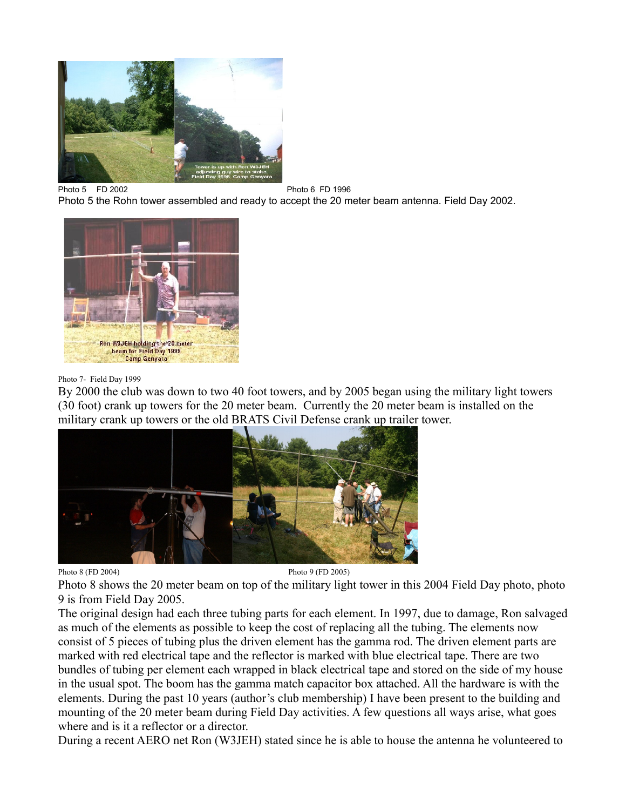

Photo 5 FD 2002 2002 2002 Photo 5 the Rohn tower assembled and ready to accept the 20 meter beam antenna. Field Day 2002.



#### Photo 7- Field Day 1999

By 2000 the club was down to two 40 foot towers, and by 2005 began using the military light towers (30 foot) crank up towers for the 20 meter beam. Currently the 20 meter beam is installed on the military crank up towers or the old BRATS Civil Defense crank up trailer tower.



Photo 8 (FD 2004) Photo 9 (FD 2005)

Photo 8 shows the 20 meter beam on top of the military light tower in this 2004 Field Day photo, photo 9 is from Field Day 2005.

The original design had each three tubing parts for each element. In 1997, due to damage, Ron salvaged as much of the elements as possible to keep the cost of replacing all the tubing. The elements now consist of 5 pieces of tubing plus the driven element has the gamma rod. The driven element parts are marked with red electrical tape and the reflector is marked with blue electrical tape. There are two bundles of tubing per element each wrapped in black electrical tape and stored on the side of my house in the usual spot. The boom has the gamma match capacitor box attached. All the hardware is with the elements. During the past 10 years (author's club membership) I have been present to the building and mounting of the 20 meter beam during Field Day activities. A few questions all ways arise, what goes where and is it a reflector or a director.

During a recent AERO net Ron (W3JEH) stated since he is able to house the antenna he volunteered to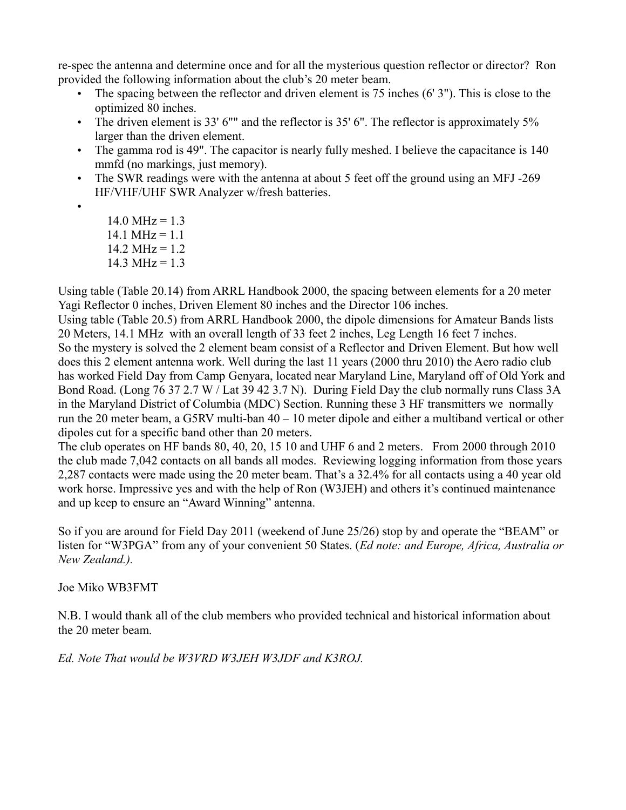re-spec the antenna and determine once and for all the mysterious question reflector or director? Ron provided the following information about the club's 20 meter beam.

- The spacing between the reflector and driven element is 75 inches (6' 3"). This is close to the optimized 80 inches.
- The driven element is 33' 6"" and the reflector is 35' 6". The reflector is approximately 5% larger than the driven element.
- The gamma rod is 49". The capacitor is nearly fully meshed. I believe the capacitance is 140 mmfd (no markings, just memory).
- The SWR readings were with the antenna at about 5 feet off the ground using an MFJ -269 HF/VHF/UHF SWR Analyzer w/fresh batteries.
- •
- $14.0 \text{ MHz} = 1.3$  $14.1 \text{ MHz} = 1.1$  $14.2 \text{ MHz} = 1.2$  $14.3 \text{ MHz} = 1.3$

Using table (Table 20.14) from ARRL Handbook 2000, the spacing between elements for a 20 meter Yagi Reflector 0 inches, Driven Element 80 inches and the Director 106 inches.

Using table (Table 20.5) from ARRL Handbook 2000, the dipole dimensions for Amateur Bands lists 20 Meters, 14.1 MHz with an overall length of 33 feet 2 inches, Leg Length 16 feet 7 inches. So the mystery is solved the 2 element beam consist of a Reflector and Driven Element. But how well does this 2 element antenna work. Well during the last 11 years (2000 thru 2010) the Aero radio club has worked Field Day from Camp Genyara, located near Maryland Line, Maryland off of Old York and Bond Road. (Long 76 37 2.7 W / Lat 39 42 3.7 N). During Field Day the club normally runs Class 3A in the Maryland District of Columbia (MDC) Section. Running these 3 HF transmitters we normally run the 20 meter beam, a G5RV multi-ban 40 – 10 meter dipole and either a multiband vertical or other dipoles cut for a specific band other than 20 meters.

The club operates on HF bands 80, 40, 20, 15 10 and UHF 6 and 2 meters. From 2000 through 2010 the club made 7,042 contacts on all bands all modes. Reviewing logging information from those years 2,287 contacts were made using the 20 meter beam. That's a 32.4% for all contacts using a 40 year old work horse. Impressive yes and with the help of Ron (W3JEH) and others it's continued maintenance and up keep to ensure an "Award Winning" antenna.

So if you are around for Field Day 2011 (weekend of June 25/26) stop by and operate the "BEAM" or listen for "W3PGA" from any of your convenient 50 States. (*Ed note: and Europe, Africa, Australia or New Zealand.).*

Joe Miko WB3FMT

N.B. I would thank all of the club members who provided technical and historical information about the 20 meter beam.

*Ed. Note That would be W3VRD W3JEH W3JDF and K3ROJ.*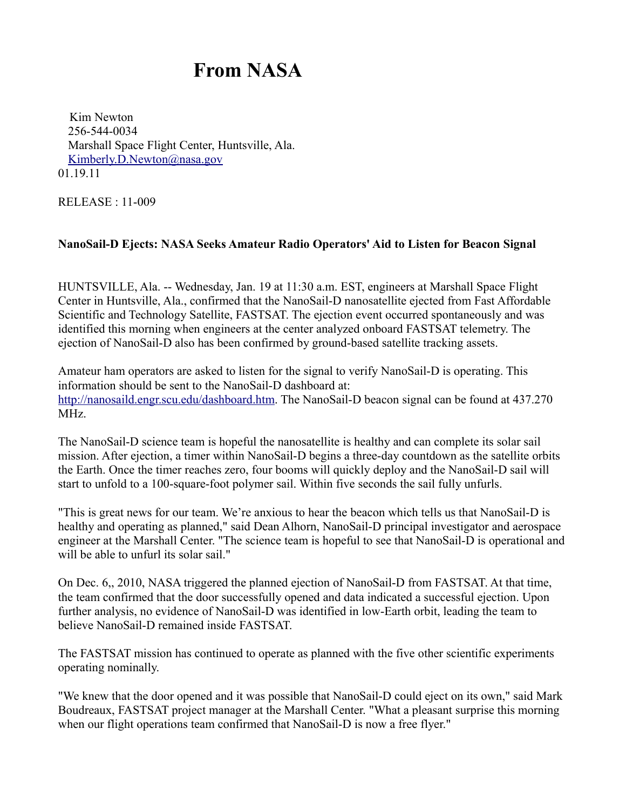# **From NASA**

Kim Newton 256-544-0034 Marshall Space Flight Center, Huntsville, Ala. [Kimberly.D.Newton@nasa.gov](mailto:Kimberly.D.Newton@nasa.gov) 01.19.11

RELEASE : 11-009

#### **NanoSail-D Ejects: NASA Seeks Amateur Radio Operators' Aid to Listen for Beacon Signal**

HUNTSVILLE, Ala. -- Wednesday, Jan. 19 at 11:30 a.m. EST, engineers at Marshall Space Flight Center in Huntsville, Ala., confirmed that the NanoSail-D nanosatellite ejected from Fast Affordable Scientific and Technology Satellite, FASTSAT. The ejection event occurred spontaneously and was identified this morning when engineers at the center analyzed onboard FASTSAT telemetry. The ejection of NanoSail-D also has been confirmed by ground-based satellite tracking assets.

Amateur ham operators are asked to listen for the signal to verify NanoSail-D is operating. This information should be sent to the NanoSail-D dashboard at: [http://nanosaild.engr.scu.edu/dashboard.htm.](http://nanosaild.engr.scu.edu/dashboard.htm) The NanoSail-D beacon signal can be found at 437.270 MHz.

The NanoSail-D science team is hopeful the nanosatellite is healthy and can complete its solar sail mission. After ejection, a timer within NanoSail-D begins a three-day countdown as the satellite orbits the Earth. Once the timer reaches zero, four booms will quickly deploy and the NanoSail-D sail will start to unfold to a 100-square-foot polymer sail. Within five seconds the sail fully unfurls.

"This is great news for our team. We're anxious to hear the beacon which tells us that NanoSail-D is healthy and operating as planned," said Dean Alhorn, NanoSail-D principal investigator and aerospace engineer at the Marshall Center. "The science team is hopeful to see that NanoSail-D is operational and will be able to unfurl its solar sail."

On Dec. 6,, 2010, NASA triggered the planned ejection of NanoSail-D from FASTSAT. At that time, the team confirmed that the door successfully opened and data indicated a successful ejection. Upon further analysis, no evidence of NanoSail-D was identified in low-Earth orbit, leading the team to believe NanoSail-D remained inside FASTSAT.

The FASTSAT mission has continued to operate as planned with the five other scientific experiments operating nominally.

"We knew that the door opened and it was possible that NanoSail-D could eject on its own," said Mark Boudreaux, FASTSAT project manager at the Marshall Center. "What a pleasant surprise this morning when our flight operations team confirmed that NanoSail-D is now a free flyer."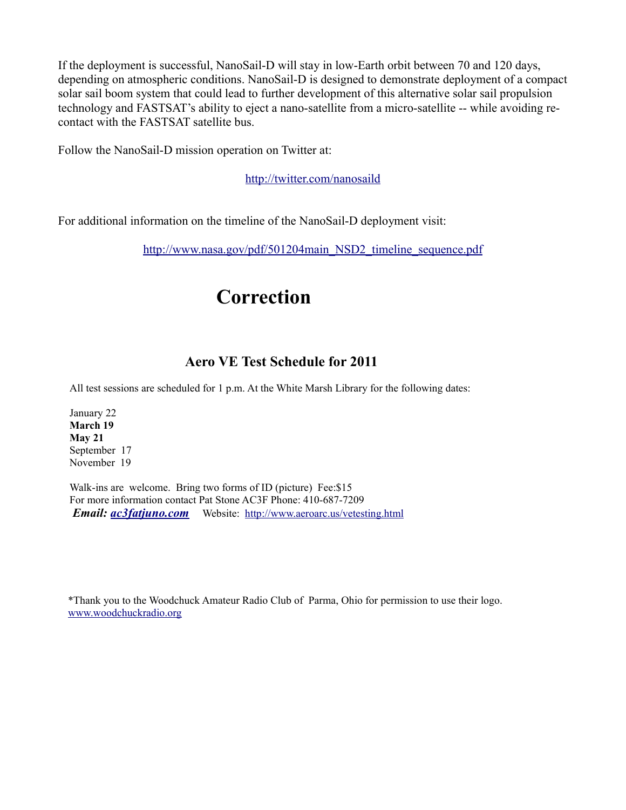If the deployment is successful, NanoSail-D will stay in low-Earth orbit between 70 and 120 days, depending on atmospheric conditions. NanoSail-D is designed to demonstrate deployment of a compact solar sail boom system that could lead to further development of this alternative solar sail propulsion technology and FASTSAT's ability to eject a nano-satellite from a micro-satellite -- while avoiding recontact with the FASTSAT satellite bus.

Follow the NanoSail-D mission operation on Twitter at:

<http://twitter.com/nanosaild>

For additional information on the timeline of the NanoSail-D deployment visit:

[http://www.nasa.gov/pdf/501204main\\_NSD2\\_timeline\\_sequence.pdf](http://www.nasa.gov/pdf/501204main_NSD2_timeline_sequence.pdf)

# **Correction**

## **Aero VE Test Schedule for 2011**

All test sessions are scheduled for 1 p.m. At the White Marsh Library for the following dates:

January 22 **March 19 May 21** September 17 November 19

Walk-ins are welcome. Bring two forms of ID (picture) Fee: \$15 For more information contact Pat Stone AC3F Phone: 410-687-7209  *Email: [ac3fatjuno.com](mailto:ac3f@juno.com)* Website: <http://www.aeroarc.us/vetesting.html>

\*Thank you to the Woodchuck Amateur Radio Club of Parma, Ohio for permission to use their logo. [www.woodchuckradio.org](http://www.woodchuckradio.org/)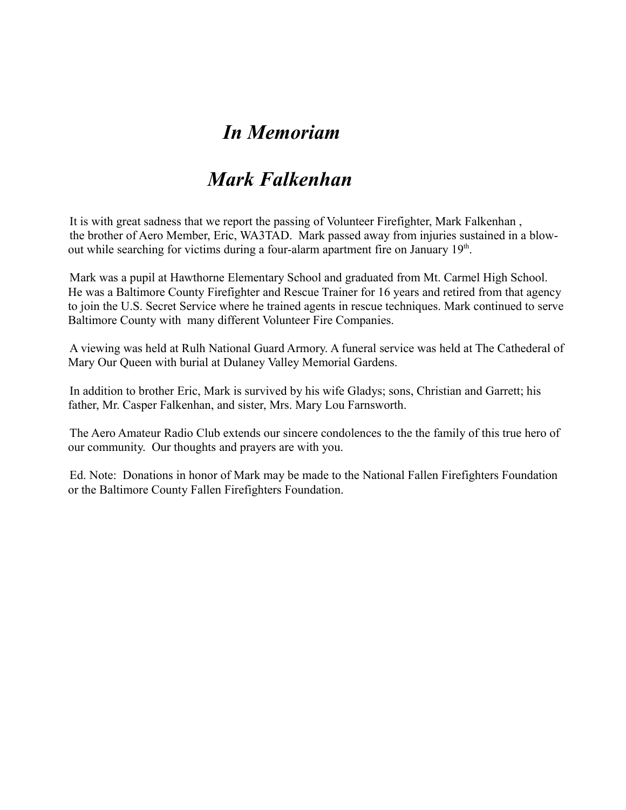# *In Memoriam*

# *Mark Falkenhan*

It is with great sadness that we report the passing of Volunteer Firefighter, Mark Falkenhan , the brother of Aero Member, Eric, WA3TAD. Mark passed away from injuries sustained in a blowout while searching for victims during a four-alarm apartment fire on January 19<sup>th</sup>.

Mark was a pupil at Hawthorne Elementary School and graduated from Mt. Carmel High School. He was a Baltimore County Firefighter and Rescue Trainer for 16 years and retired from that agency to join the U.S. Secret Service where he trained agents in rescue techniques. Mark continued to serve Baltimore County with many different Volunteer Fire Companies.

A viewing was held at Rulh National Guard Armory. A funeral service was held at The Cathederal of Mary Our Queen with burial at Dulaney Valley Memorial Gardens.

In addition to brother Eric, Mark is survived by his wife Gladys; sons, Christian and Garrett; his father, Mr. Casper Falkenhan, and sister, Mrs. Mary Lou Farnsworth.

The Aero Amateur Radio Club extends our sincere condolences to the the family of this true hero of our community. Our thoughts and prayers are with you.

Ed. Note: Donations in honor of Mark may be made to the National Fallen Firefighters Foundation or the Baltimore County Fallen Firefighters Foundation.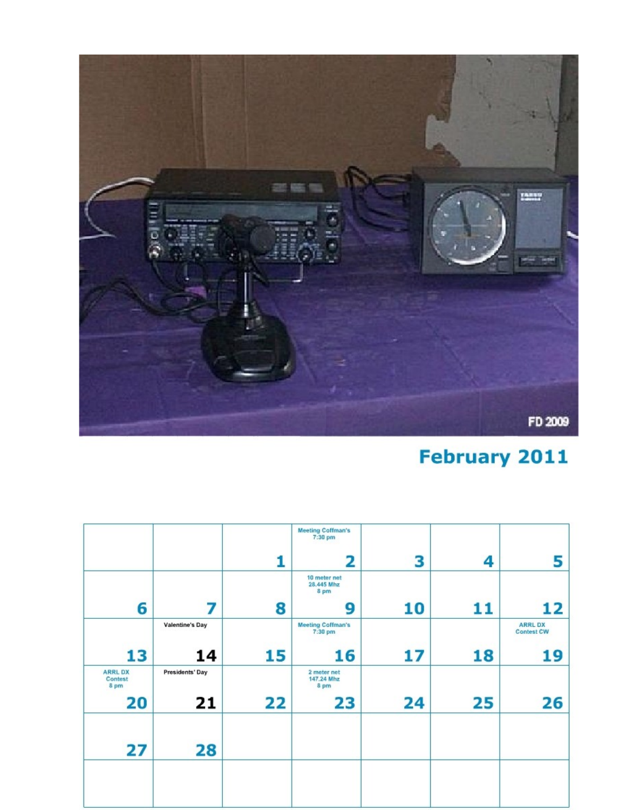

# **February 2011**

|                                   |                        |    | <b>Meeting Coffman's</b><br>7:30 pm |    |    |                                    |
|-----------------------------------|------------------------|----|-------------------------------------|----|----|------------------------------------|
|                                   |                        | 1  | 2                                   | 3  | 4  | 5                                  |
|                                   |                        |    | 10 meter net<br>28.445 Mhz<br>8 pm  |    |    |                                    |
| 6                                 | 7                      | 8  | 9                                   | 10 | 11 | 12                                 |
|                                   | <b>Valentine's Day</b> |    | <b>Meeting Coffman's</b><br>7:30 pm |    |    | <b>ARRLDX</b><br><b>Contest CW</b> |
| 13                                | 14                     | 15 | 16                                  | 17 | 18 | 19                                 |
| <b>ARRL DX</b><br>Contest<br>8 pm | Presidents' Day        |    | 2 meter net<br>147.24 Mhz<br>8 pm   |    |    |                                    |
| 20                                | 21                     | 22 | 23                                  | 24 | 25 | 26                                 |
| 27                                | 28                     |    |                                     |    |    |                                    |
|                                   |                        |    |                                     |    |    |                                    |
|                                   |                        |    |                                     |    |    |                                    |